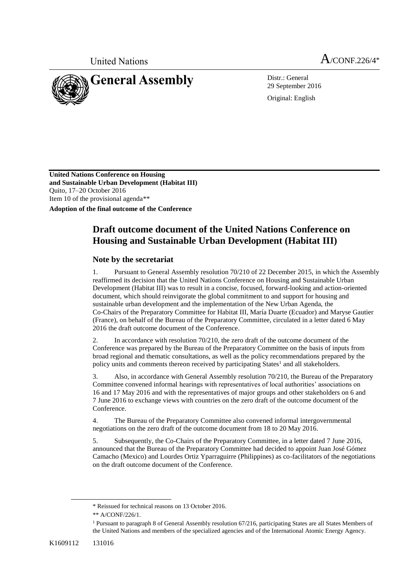

29 September 2016 Original: English

**United Nations Conference on Housing and Sustainable Urban Development (Habitat III)** Quito, 17–20 October 2016 Item 10 of the provisional agenda\*\*

**Adoption of the final outcome of the Conference**

# **Draft outcome document of the United Nations Conference on Housing and Sustainable Urban Development (Habitat III)**

# **Note by the secretariat**

1. Pursuant to General Assembly resolution 70/210 of 22 December 2015, in which the Assembly reaffirmed its decision that the United Nations Conference on Housing and Sustainable Urban Development (Habitat III) was to result in a concise, focused, forward-looking and action-oriented document, which should reinvigorate the global commitment to and support for housing and sustainable urban development and the implementation of the New Urban Agenda, the Co-Chairs of the Preparatory Committee for Habitat III, María Duarte (Ecuador) and Maryse Gautier (France), on behalf of the Bureau of the Preparatory Committee, circulated in a letter dated 6 May 2016 the draft outcome document of the Conference.

2. In accordance with resolution 70/210, the zero draft of the outcome document of the Conference was prepared by the Bureau of the Preparatory Committee on the basis of inputs from broad regional and thematic consultations, as well as the policy recommendations prepared by the policy units and comments thereon received by participating States<sup>1</sup> and all stakeholders.

3. Also, in accordance with General Assembly resolution 70/210, the Bureau of the Preparatory Committee convened informal hearings with representatives of local authorities' associations on 16 and 17 May 2016 and with the representatives of major groups and other stakeholders on 6 and 7 June 2016 to exchange views with countries on the zero draft of the outcome document of the Conference.

4. The Bureau of the Preparatory Committee also convened informal intergovernmental negotiations on the zero draft of the outcome document from 18 to 20 May 2016.

5. Subsequently, the Co-Chairs of the Preparatory Committee, in a letter dated 7 June 2016, announced that the Bureau of the Preparatory Committee had decided to appoint Juan José Gómez Camacho (Mexico) and Lourdes Ortiz Yparraguirre (Philippines) as co-facilitators of the negotiations on the draft outcome document of the Conference.

l

<sup>\*</sup> Reissued for technical reasons on 13 October 2016.

<sup>\*\*</sup> A/CONF/226/1.

<sup>1</sup> Pursuant to paragraph 8 of General Assembly resolution 67/216, participating States are all States Members of the United Nations and members of the specialized agencies and of the International Atomic Energy Agency.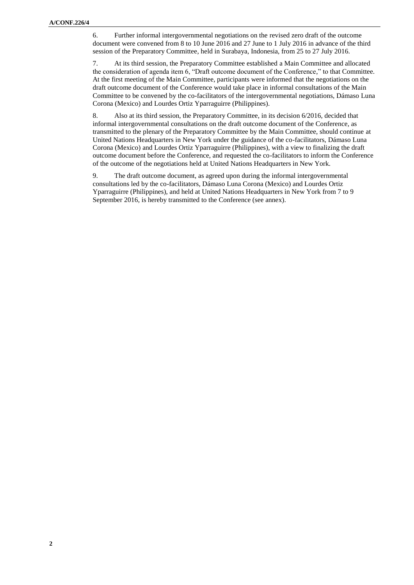6. Further informal intergovernmental negotiations on the revised zero draft of the outcome document were convened from 8 to 10 June 2016 and 27 June to 1 July 2016 in advance of the third session of the Preparatory Committee, held in Surabaya, Indonesia, from 25 to 27 July 2016.

7. At its third session, the Preparatory Committee established a Main Committee and allocated the consideration of agenda item 6, "Draft outcome document of the Conference," to that Committee. At the first meeting of the Main Committee, participants were informed that the negotiations on the draft outcome document of the Conference would take place in informal consultations of the Main Committee to be convened by the co-facilitators of the intergovernmental negotiations, Dámaso Luna Corona (Mexico) and Lourdes Ortiz Yparraguirre (Philippines).

8. Also at its third session, the Preparatory Committee, in its decision 6/2016, decided that informal intergovernmental consultations on the draft outcome document of the Conference, as transmitted to the plenary of the Preparatory Committee by the Main Committee, should continue at United Nations Headquarters in New York under the guidance of the co-facilitators, Dámaso Luna Corona (Mexico) and Lourdes Ortiz Yparraguirre (Philippines), with a view to finalizing the draft outcome document before the Conference, and requested the co-facilitators to inform the Conference of the outcome of the negotiations held at United Nations Headquarters in New York.

9. The draft outcome document, as agreed upon during the informal intergovernmental consultations led by the co-facilitators, Dámaso Luna Corona (Mexico) and Lourdes Ortiz Yparraguirre (Philippines), and held at United Nations Headquarters in New York from 7 to 9 September 2016, is hereby transmitted to the Conference (see annex).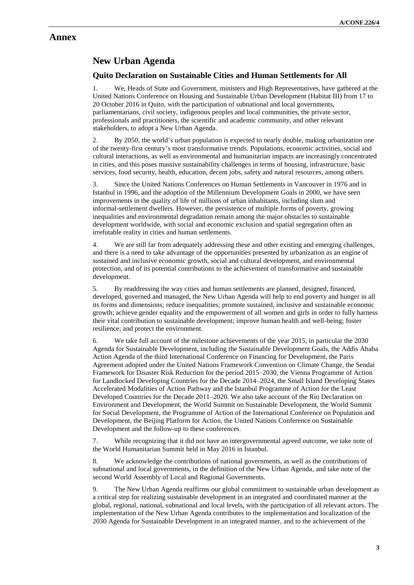# **Annex**

# **New Urban Agenda**

## **Quito Declaration on Sustainable Cities and Human Settlements for All**

1. We, Heads of State and Government, ministers and High Representatives, have gathered at the United Nations Conference on Housing and Sustainable Urban Development (Habitat III) from 17 to 20 October 2016 in Quito, with the participation of subnational and local governments, parliamentarians, civil society, indigenous peoples and local communities, the private sector, professionals and practitioners, the scientific and academic community, and other relevant stakeholders, to adopt a New Urban Agenda.

2. By 2050, the world's urban population is expected to nearly double, making urbanization one of the twenty-first century's most transformative trends. Populations, economic activities, social and cultural interactions, as well as environmental and humanitarian impacts are increasingly concentrated in cities, and this poses massive sustainability challenges in terms of housing, infrastructure, basic services, food security, health, education, decent jobs, safety and natural resources, among others.

3. Since the United Nations Conferences on Human Settlements in Vancouver in 1976 and in Istanbul in 1996, and the adoption of the Millennium Development Goals in 2000, we have seen improvements in the quality of life of millions of urban inhabitants, including slum and informal-settlement dwellers. However, the persistence of multiple forms of poverty, growing inequalities and environmental degradation remain among the major obstacles to sustainable development worldwide, with social and economic exclusion and spatial segregation often an irrefutable reality in cities and human settlements.

4. We are still far from adequately addressing these and other existing and emerging challenges, and there is a need to take advantage of the opportunities presented by urbanization as an engine of sustained and inclusive economic growth, social and cultural development, and environmental protection, and of its potential contributions to the achievement of transformative and sustainable development.

5. By readdressing the way cities and human settlements are planned, designed, financed, developed, governed and managed, the New Urban Agenda will help to end poverty and hunger in all its forms and dimensions; reduce inequalities; promote sustained, inclusive and sustainable economic growth; achieve gender equality and the empowerment of all women and girls in order to fully harness their vital contribution to sustainable development; improve human health and well-being; foster resilience; and protect the environment.

6. We take full account of the milestone achievements of the year 2015, in particular the 2030 Agenda for Sustainable Development, including the Sustainable Development Goals, the Addis Ababa Action Agenda of the third International Conference on Financing for Development, the Paris Agreement adopted under the United Nations Framework Convention on Climate Change, the Sendai Framework for Disaster Risk Reduction for the period 2015–2030, the Vienna Programme of Action for Landlocked Developing Countries for the Decade 2014–2024, the Small Island Developing States Accelerated Modalities of Action Pathway and the Istanbul Programme of Action for the Least Developed Countries for the Decade 2011–2020. We also take account of the Rio Declaration on Environment and Development, the World Summit on Sustainable Development, the World Summit for Social Development, the Programme of Action of the International Conference on Population and Development, the Beijing Platform for Action, the United Nations Conference on Sustainable Development and the follow-up to these conferences.

7. While recognizing that it did not have an intergovernmental agreed outcome, we take note of the World Humanitarian Summit held in May 2016 in Istanbul.

8. We acknowledge the contributions of national governments, as well as the contributions of subnational and local governments, in the definition of the New Urban Agenda, and take note of the second World Assembly of Local and Regional Governments.

9. The New Urban Agenda reaffirms our global commitment to sustainable urban development as a critical step for realizing sustainable development in an integrated and coordinated manner at the global, regional, national, subnational and local levels, with the participation of all relevant actors. The implementation of the New Urban Agenda contributes to the implementation and localization of the 2030 Agenda for Sustainable Development in an integrated manner, and to the achievement of the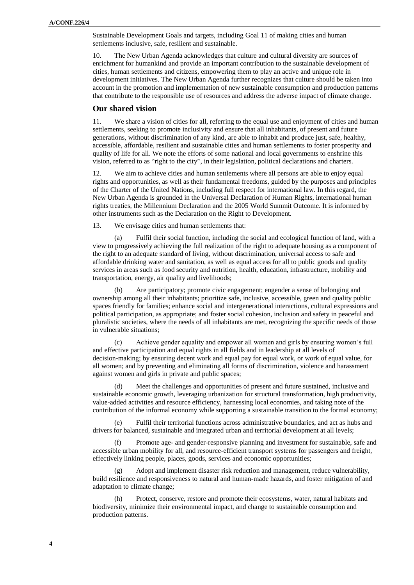Sustainable Development Goals and targets, including Goal 11 of making cities and human settlements inclusive, safe, resilient and sustainable.

10. The New Urban Agenda acknowledges that culture and cultural diversity are sources of enrichment for humankind and provide an important contribution to the sustainable development of cities, human settlements and citizens, empowering them to play an active and unique role in development initiatives. The New Urban Agenda further recognizes that culture should be taken into account in the promotion and implementation of new sustainable consumption and production patterns that contribute to the responsible use of resources and address the adverse impact of climate change.

#### **Our shared vision**

11. We share a vision of cities for all, referring to the equal use and enjoyment of cities and human settlements, seeking to promote inclusivity and ensure that all inhabitants, of present and future generations, without discrimination of any kind, are able to inhabit and produce just, safe, healthy, accessible, affordable, resilient and sustainable cities and human settlements to foster prosperity and quality of life for all. We note the efforts of some national and local governments to enshrine this vision, referred to as "right to the city", in their legislation, political declarations and charters.

12. We aim to achieve cities and human settlements where all persons are able to enjoy equal rights and opportunities, as well as their fundamental freedoms, guided by the purposes and principles of the Charter of the United Nations, including full respect for international law. In this regard, the New Urban Agenda is grounded in the Universal Declaration of Human Rights, international human rights treaties, the Millennium Declaration and the 2005 World Summit Outcome. It is informed by other instruments such as the Declaration on the Right to Development.

13. We envisage cities and human settlements that:

(a) Fulfil their social function, including the social and ecological function of land, with a view to progressively achieving the full realization of the right to adequate housing as a component of the right to an adequate standard of living, without discrimination, universal access to safe and affordable drinking water and sanitation, as well as equal access for all to public goods and quality services in areas such as food security and nutrition, health, education, infrastructure, mobility and transportation, energy, air quality and livelihoods;

(b) Are participatory; promote civic engagement; engender a sense of belonging and ownership among all their inhabitants; prioritize safe, inclusive, accessible, green and quality public spaces friendly for families; enhance social and intergenerational interactions, cultural expressions and political participation, as appropriate; and foster social cohesion, inclusion and safety in peaceful and pluralistic societies, where the needs of all inhabitants are met, recognizing the specific needs of those in vulnerable situations;

(c) Achieve gender equality and empower all women and girls by ensuring women's full and effective participation and equal rights in all fields and in leadership at all levels of decision-making; by ensuring decent work and equal pay for equal work, or work of equal value, for all women; and by preventing and eliminating all forms of discrimination, violence and harassment against women and girls in private and public spaces;

(d) Meet the challenges and opportunities of present and future sustained, inclusive and sustainable economic growth, leveraging urbanization for structural transformation, high productivity, value-added activities and resource efficiency, harnessing local economies, and taking note of the contribution of the informal economy while supporting a sustainable transition to the formal economy;

(e) Fulfil their territorial functions across administrative boundaries, and act as hubs and drivers for balanced, sustainable and integrated urban and territorial development at all levels;

Promote age- and gender-responsive planning and investment for sustainable, safe and accessible urban mobility for all, and resource-efficient transport systems for passengers and freight, effectively linking people, places, goods, services and economic opportunities;

(g) Adopt and implement disaster risk reduction and management, reduce vulnerability, build resilience and responsiveness to natural and human-made hazards, and foster mitigation of and adaptation to climate change;

Protect, conserve, restore and promote their ecosystems, water, natural habitats and biodiversity, minimize their environmental impact, and change to sustainable consumption and production patterns.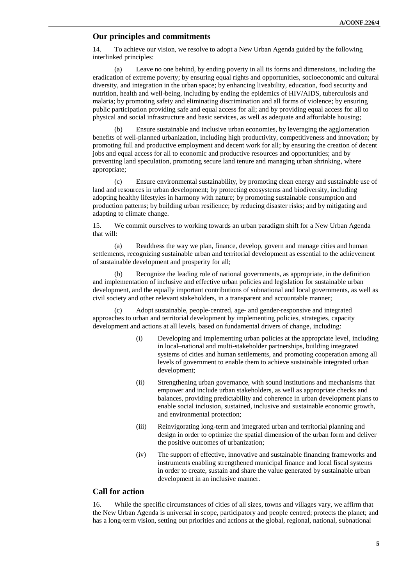## **Our principles and commitments**

14. To achieve our vision, we resolve to adopt a New Urban Agenda guided by the following interlinked principles:

(a) Leave no one behind, by ending poverty in all its forms and dimensions, including the eradication of extreme poverty; by ensuring equal rights and opportunities, socioeconomic and cultural diversity, and integration in the urban space; by enhancing liveability, education, food security and nutrition, health and well-being, including by ending the epidemics of HIV/AIDS, tuberculosis and malaria; by promoting safety and eliminating discrimination and all forms of violence; by ensuring public participation providing safe and equal access for all; and by providing equal access for all to physical and social infrastructure and basic services, as well as adequate and affordable housing;

(b) Ensure sustainable and inclusive urban economies, by leveraging the agglomeration benefits of well-planned urbanization, including high productivity, competitiveness and innovation; by promoting full and productive employment and decent work for all; by ensuring the creation of decent jobs and equal access for all to economic and productive resources and opportunities; and by preventing land speculation, promoting secure land tenure and managing urban shrinking, where appropriate;

(c) Ensure environmental sustainability, by promoting clean energy and sustainable use of land and resources in urban development; by protecting ecosystems and biodiversity, including adopting healthy lifestyles in harmony with nature; by promoting sustainable consumption and production patterns; by building urban resilience; by reducing disaster risks; and by mitigating and adapting to climate change.

15. We commit ourselves to working towards an urban paradigm shift for a New Urban Agenda that will:

(a) Readdress the way we plan, finance, develop, govern and manage cities and human settlements, recognizing sustainable urban and territorial development as essential to the achievement of sustainable development and prosperity for all;

(b) Recognize the leading role of national governments, as appropriate, in the definition and implementation of inclusive and effective urban policies and legislation for sustainable urban development, and the equally important contributions of subnational and local governments, as well as civil society and other relevant stakeholders, in a transparent and accountable manner;

Adopt sustainable, people-centred, age- and gender-responsive and integrated approaches to urban and territorial development by implementing policies, strategies, capacity development and actions at all levels, based on fundamental drivers of change, including:

- (i) Developing and implementing urban policies at the appropriate level, including in local–national and multi-stakeholder partnerships, building integrated systems of cities and human settlements, and promoting cooperation among all levels of government to enable them to achieve sustainable integrated urban development;
- (ii) Strengthening urban governance, with sound institutions and mechanisms that empower and include urban stakeholders, as well as appropriate checks and balances, providing predictability and coherence in urban development plans to enable social inclusion, sustained, inclusive and sustainable economic growth, and environmental protection;
- (iii) Reinvigorating long-term and integrated urban and territorial planning and design in order to optimize the spatial dimension of the urban form and deliver the positive outcomes of urbanization;
- (iv) The support of effective, innovative and sustainable financing frameworks and instruments enabling strengthened municipal finance and local fiscal systems in order to create, sustain and share the value generated by sustainable urban development in an inclusive manner.

## **Call for action**

16. While the specific circumstances of cities of all sizes, towns and villages vary, we affirm that the New Urban Agenda is universal in scope, participatory and people centred; protects the planet; and has a long-term vision, setting out priorities and actions at the global, regional, national, subnational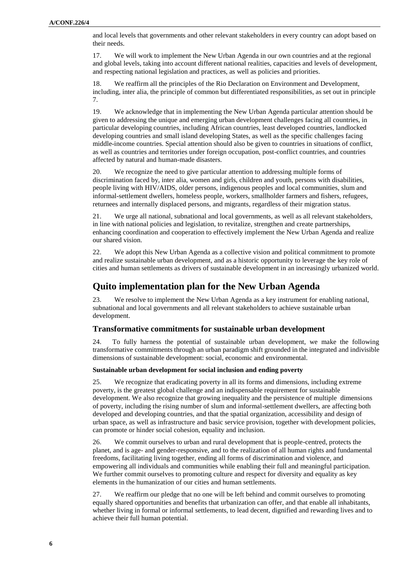and local levels that governments and other relevant stakeholders in every country can adopt based on their needs.

17. We will work to implement the New Urban Agenda in our own countries and at the regional and global levels, taking into account different national realities, capacities and levels of development, and respecting national legislation and practices, as well as policies and priorities.

18. We reaffirm all the principles of the Rio Declaration on Environment and Development, including, inter alia, the principle of common but differentiated responsibilities, as set out in principle 7.

19. We acknowledge that in implementing the New Urban Agenda particular attention should be given to addressing the unique and emerging urban development challenges facing all countries, in particular developing countries, including African countries, least developed countries, landlocked developing countries and small island developing States, as well as the specific challenges facing middle-income countries. Special attention should also be given to countries in situations of conflict, as well as countries and territories under foreign occupation, post-conflict countries, and countries affected by natural and human-made disasters.

20. We recognize the need to give particular attention to addressing multiple forms of discrimination faced by, inter alia, women and girls, children and youth, persons with disabilities, people living with HIV/AIDS, older persons, indigenous peoples and local communities, slum and informal-settlement dwellers, homeless people, workers, smallholder farmers and fishers, refugees, returnees and internally displaced persons, and migrants, regardless of their migration status.

21. We urge all national, subnational and local governments, as well as all relevant stakeholders, in line with national policies and legislation, to revitalize, strengthen and create partnerships, enhancing coordination and cooperation to effectively implement the New Urban Agenda and realize our shared vision.

22. We adopt this New Urban Agenda as a collective vision and political commitment to promote and realize sustainable urban development, and as a historic opportunity to leverage the key role of cities and human settlements as drivers of sustainable development in an increasingly urbanized world.

# **Quito implementation plan for the New Urban Agenda**

23. We resolve to implement the New Urban Agenda as a key instrument for enabling national, subnational and local governments and all relevant stakeholders to achieve sustainable urban development.

## **Transformative commitments for sustainable urban development**

24. To fully harness the potential of sustainable urban development, we make the following transformative commitments through an urban paradigm shift grounded in the integrated and indivisible dimensions of sustainable development: social, economic and environmental.

### **Sustainable urban development for social inclusion and ending poverty**

25. We recognize that eradicating poverty in all its forms and dimensions, including extreme poverty, is the greatest global challenge and an indispensable requirement for sustainable development. We also recognize that growing inequality and the persistence of multiple dimensions of poverty, including the rising number of slum and informal-settlement dwellers, are affecting both developed and developing countries, and that the spatial organization, accessibility and design of urban space, as well as infrastructure and basic service provision, together with development policies, can promote or hinder social cohesion, equality and inclusion.

26. We commit ourselves to urban and rural development that is people-centred, protects the planet, and is age- and gender-responsive, and to the realization of all human rights and fundamental freedoms, facilitating living together, ending all forms of discrimination and violence, and empowering all individuals and communities while enabling their full and meaningful participation. We further commit ourselves to promoting culture and respect for diversity and equality as key elements in the humanization of our cities and human settlements.

27. We reaffirm our pledge that no one will be left behind and commit ourselves to promoting equally shared opportunities and benefits that urbanization can offer, and that enable all inhabitants, whether living in formal or informal settlements, to lead decent, dignified and rewarding lives and to achieve their full human potential.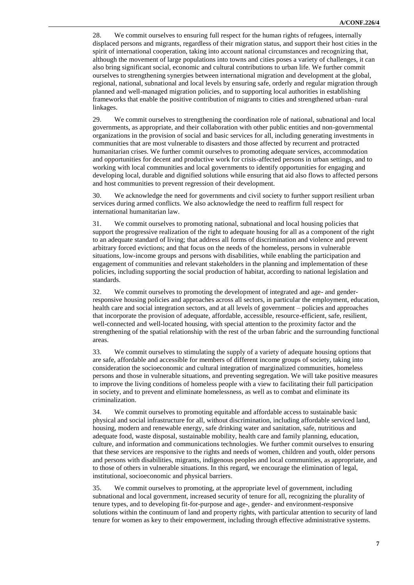28. We commit ourselves to ensuring full respect for the human rights of refugees, internally displaced persons and migrants, regardless of their migration status, and support their host cities in the spirit of international cooperation, taking into account national circumstances and recognizing that, although the movement of large populations into towns and cities poses a variety of challenges, it can also bring significant social, economic and cultural contributions to urban life. We further commit ourselves to strengthening synergies between international migration and development at the global, regional, national, subnational and local levels by ensuring safe, orderly and regular migration through planned and well-managed migration policies, and to supporting local authorities in establishing frameworks that enable the positive contribution of migrants to cities and strengthened urban–rural linkages.

29. We commit ourselves to strengthening the coordination role of national, subnational and local governments, as appropriate, and their collaboration with other public entities and non-governmental organizations in the provision of social and basic services for all, including generating investments in communities that are most vulnerable to disasters and those affected by recurrent and protracted humanitarian crises. We further commit ourselves to promoting adequate services, accommodation and opportunities for decent and productive work for crisis-affected persons in urban settings, and to working with local communities and local governments to identify opportunities for engaging and developing local, durable and dignified solutions while ensuring that aid also flows to affected persons and host communities to prevent regression of their development.

30. We acknowledge the need for governments and civil society to further support resilient urban services during armed conflicts. We also acknowledge the need to reaffirm full respect for international humanitarian law.

31. We commit ourselves to promoting national, subnational and local housing policies that support the progressive realization of the right to adequate housing for all as a component of the right to an adequate standard of living; that address all forms of discrimination and violence and prevent arbitrary forced evictions; and that focus on the needs of the homeless, persons in vulnerable situations, low-income groups and persons with disabilities, while enabling the participation and engagement of communities and relevant stakeholders in the planning and implementation of these policies, including supporting the social production of habitat, according to national legislation and standards.

32. We commit ourselves to promoting the development of integrated and age- and genderresponsive housing policies and approaches across all sectors, in particular the employment, education, health care and social integration sectors, and at all levels of government – policies and approaches that incorporate the provision of adequate, affordable, accessible, resource-efficient, safe, resilient, well-connected and well-located housing, with special attention to the proximity factor and the strengthening of the spatial relationship with the rest of the urban fabric and the surrounding functional areas.

33. We commit ourselves to stimulating the supply of a variety of adequate housing options that are safe, affordable and accessible for members of different income groups of society, taking into consideration the socioeconomic and cultural integration of marginalized communities, homeless persons and those in vulnerable situations, and preventing segregation. We will take positive measures to improve the living conditions of homeless people with a view to facilitating their full participation in society, and to prevent and eliminate homelessness, as well as to combat and eliminate its criminalization.

34. We commit ourselves to promoting equitable and affordable access to sustainable basic physical and social infrastructure for all, without discrimination, including affordable serviced land, housing, modern and renewable energy, safe drinking water and sanitation, safe, nutritious and adequate food, waste disposal, sustainable mobility, health care and family planning, education, culture, and information and communications technologies. We further commit ourselves to ensuring that these services are responsive to the rights and needs of women, children and youth, older persons and persons with disabilities, migrants, indigenous peoples and local communities, as appropriate, and to those of others in vulnerable situations. In this regard, we encourage the elimination of legal, institutional, socioeconomic and physical barriers.

35. We commit ourselves to promoting, at the appropriate level of government, including subnational and local government, increased security of tenure for all, recognizing the plurality of tenure types, and to developing fit-for-purpose and age-, gender- and environment-responsive solutions within the continuum of land and property rights, with particular attention to security of land tenure for women as key to their empowerment, including through effective administrative systems.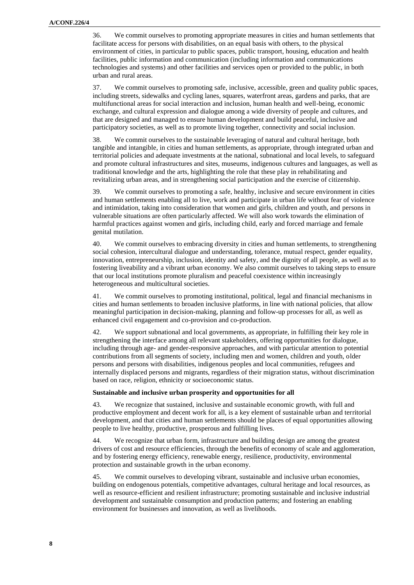36. We commit ourselves to promoting appropriate measures in cities and human settlements that facilitate access for persons with disabilities, on an equal basis with others, to the physical environment of cities, in particular to public spaces, public transport, housing, education and health facilities, public information and communication (including information and communications technologies and systems) and other facilities and services open or provided to the public, in both urban and rural areas.

37. We commit ourselves to promoting safe, inclusive, accessible, green and quality public spaces, including streets, sidewalks and cycling lanes, squares, waterfront areas, gardens and parks, that are multifunctional areas for social interaction and inclusion, human health and well-being, economic exchange, and cultural expression and dialogue among a wide diversity of people and cultures, and that are designed and managed to ensure human development and build peaceful, inclusive and participatory societies, as well as to promote living together, connectivity and social inclusion.

38. We commit ourselves to the sustainable leveraging of natural and cultural heritage, both tangible and intangible, in cities and human settlements, as appropriate, through integrated urban and territorial policies and adequate investments at the national, subnational and local levels, to safeguard and promote cultural infrastructures and sites, museums, indigenous cultures and languages, as well as traditional knowledge and the arts, highlighting the role that these play in rehabilitating and revitalizing urban areas, and in strengthening social participation and the exercise of citizenship.

39. We commit ourselves to promoting a safe, healthy, inclusive and secure environment in cities and human settlements enabling all to live, work and participate in urban life without fear of violence and intimidation, taking into consideration that women and girls, children and youth, and persons in vulnerable situations are often particularly affected. We will also work towards the elimination of harmful practices against women and girls, including child, early and forced marriage and female genital mutilation.

40. We commit ourselves to embracing diversity in cities and human settlements, to strengthening social cohesion, intercultural dialogue and understanding, tolerance, mutual respect, gender equality, innovation, entrepreneurship, inclusion, identity and safety, and the dignity of all people, as well as to fostering liveability and a vibrant urban economy. We also commit ourselves to taking steps to ensure that our local institutions promote pluralism and peaceful coexistence within increasingly heterogeneous and multicultural societies.

41. We commit ourselves to promoting institutional, political, legal and financial mechanisms in cities and human settlements to broaden inclusive platforms, in line with national policies, that allow meaningful participation in decision-making, planning and follow-up processes for all, as well as enhanced civil engagement and co-provision and co-production.

42. We support subnational and local governments, as appropriate, in fulfilling their key role in strengthening the interface among all relevant stakeholders, offering opportunities for dialogue, including through age- and gender-responsive approaches, and with particular attention to potential contributions from all segments of society, including men and women, children and youth, older persons and persons with disabilities, indigenous peoples and local communities, refugees and internally displaced persons and migrants, regardless of their migration status, without discrimination based on race, religion, ethnicity or socioeconomic status.

#### **Sustainable and inclusive urban prosperity and opportunities for all**

43. We recognize that sustained, inclusive and sustainable economic growth, with full and productive employment and decent work for all, is a key element of sustainable urban and territorial development, and that cities and human settlements should be places of equal opportunities allowing people to live healthy, productive, prosperous and fulfilling lives.

44. We recognize that urban form, infrastructure and building design are among the greatest drivers of cost and resource efficiencies, through the benefits of economy of scale and agglomeration, and by fostering energy efficiency, renewable energy, resilience, productivity, environmental protection and sustainable growth in the urban economy.

45. We commit ourselves to developing vibrant, sustainable and inclusive urban economies, building on endogenous potentials, competitive advantages, cultural heritage and local resources, as well as resource-efficient and resilient infrastructure; promoting sustainable and inclusive industrial development and sustainable consumption and production patterns; and fostering an enabling environment for businesses and innovation, as well as livelihoods.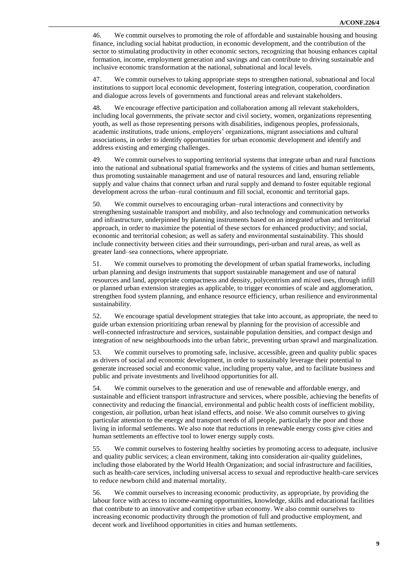46. We commit ourselves to promoting the role of affordable and sustainable housing and housing finance, including social habitat production, in economic development, and the contribution of the sector to stimulating productivity in other economic sectors, recognizing that housing enhances capital formation, income, employment generation and savings and can contribute to driving sustainable and inclusive economic transformation at the national, subnational and local levels.

47. We commit ourselves to taking appropriate steps to strengthen national, subnational and local institutions to support local economic development, fostering integration, cooperation, coordination and dialogue across levels of governments and functional areas and relevant stakeholders.

48. We encourage effective participation and collaboration among all relevant stakeholders, including local governments, the private sector and civil society, women, organizations representing youth, as well as those representing persons with disabilities, indigenous peoples, professionals, academic institutions, trade unions, employers' organizations, migrant associations and cultural associations, in order to identify opportunities for urban economic development and identify and address existing and emerging challenges.

49. We commit ourselves to supporting territorial systems that integrate urban and rural functions into the national and subnational spatial frameworks and the systems of cities and human settlements, thus promoting sustainable management and use of natural resources and land, ensuring reliable supply and value chains that connect urban and rural supply and demand to foster equitable regional development across the urban–rural continuum and fill social, economic and territorial gaps.

50. We commit ourselves to encouraging urban–rural interactions and connectivity by strengthening sustainable transport and mobility, and also technology and communication networks and infrastructure, underpinned by planning instruments based on an integrated urban and territorial approach, in order to maximize the potential of these sectors for enhanced productivity; and social, economic and territorial cohesion; as well as safety and environmental sustainability. This should include connectivity between cities and their surroundings, peri-urban and rural areas, as well as greater land–sea connections, where appropriate.

51. We commit ourselves to promoting the development of urban spatial frameworks, including urban planning and design instruments that support sustainable management and use of natural resources and land, appropriate compactness and density, polycentrism and mixed uses, through infill or planned urban extension strategies as applicable, to trigger economies of scale and agglomeration, strengthen food system planning, and enhance resource efficiency, urban resilience and environmental sustainability.

52. We encourage spatial development strategies that take into account, as appropriate, the need to guide urban extension prioritizing urban renewal by planning for the provision of accessible and well-connected infrastructure and services, sustainable population densities, and compact design and integration of new neighbourhoods into the urban fabric, preventing urban sprawl and marginalization.

53. We commit ourselves to promoting safe, inclusive, accessible, green and quality public spaces as drivers of social and economic development, in order to sustainably leverage their potential to generate increased social and economic value, including property value, and to facilitate business and public and private investments and livelihood opportunities for all.

54. We commit ourselves to the generation and use of renewable and affordable energy, and sustainable and efficient transport infrastructure and services, where possible, achieving the benefits of connectivity and reducing the financial, environmental and public health costs of inefficient mobility, congestion, air pollution, urban heat island effects, and noise. We also commit ourselves to giving particular attention to the energy and transport needs of all people, particularly the poor and those living in informal settlements. We also note that reductions in renewable energy costs give cities and human settlements an effective tool to lower energy supply costs.

55. We commit ourselves to fostering healthy societies by promoting access to adequate, inclusive and quality public services; a clean environment, taking into consideration air-quality guidelines, including those elaborated by the World Health Organization; and social infrastructure and facilities, such as health-care services, including universal access to sexual and reproductive health-care services to reduce newborn child and maternal mortality.

56. We commit ourselves to increasing economic productivity, as appropriate, by providing the labour force with access to income-earning opportunities, knowledge, skills and educational facilities that contribute to an innovative and competitive urban economy. We also commit ourselves to increasing economic productivity through the promotion of full and productive employment, and decent work and livelihood opportunities in cities and human settlements.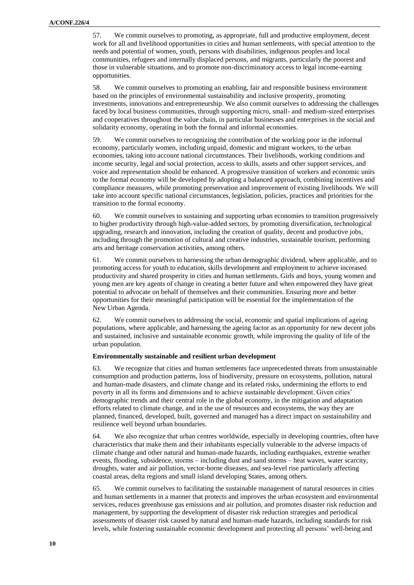57. We commit ourselves to promoting, as appropriate, full and productive employment, decent work for all and livelihood opportunities in cities and human settlements, with special attention to the needs and potential of women, youth, persons with disabilities, indigenous peoples and local communities, refugees and internally displaced persons, and migrants, particularly the poorest and those in vulnerable situations, and to promote non-discriminatory access to legal income-earning opportunities.

58. We commit ourselves to promoting an enabling, fair and responsible business environment based on the principles of environmental sustainability and inclusive prosperity, promoting investments, innovations and entrepreneurship. We also commit ourselves to addressing the challenges faced by local business communities, through supporting micro, small- and medium-sized enterprises and cooperatives throughout the value chain, in particular businesses and enterprises in the social and solidarity economy, operating in both the formal and informal economies.

59. We commit ourselves to recognizing the contribution of the working poor in the informal economy, particularly women, including unpaid, domestic and migrant workers, to the urban economies, taking into account national circumstances. Their livelihoods, working conditions and income security, legal and social protection, access to skills, assets and other support services, and voice and representation should be enhanced. A progressive transition of workers and economic units to the formal economy will be developed by adopting a balanced approach, combining incentives and compliance measures, while promoting preservation and improvement of existing livelihoods. We will take into account specific national circumstances, legislation, policies, practices and priorities for the transition to the formal economy.

60. We commit ourselves to sustaining and supporting urban economies to transition progressively to higher productivity through high-value-added sectors, by promoting diversification, technological upgrading, research and innovation, including the creation of quality, decent and productive jobs, including through the promotion of cultural and creative industries, sustainable tourism, performing arts and heritage conservation activities, among others.

61. We commit ourselves to harnessing the urban demographic dividend, where applicable, and to promoting access for youth to education, skills development and employment to achieve increased productivity and shared prosperity in cities and human settlements. Girls and boys, young women and young men are key agents of change in creating a better future and when empowered they have great potential to advocate on behalf of themselves and their communities. Ensuring more and better opportunities for their meaningful participation will be essential for the implementation of the New Urban Agenda.

62. We commit ourselves to addressing the social, economic and spatial implications of ageing populations, where applicable, and harnessing the ageing factor as an opportunity for new decent jobs and sustained, inclusive and sustainable economic growth, while improving the quality of life of the urban population.

#### **Environmentally sustainable and resilient urban development**

63. We recognize that cities and human settlements face unprecedented threats from unsustainable consumption and production patterns, loss of biodiversity, pressure on ecosystems, pollution, natural and human-made disasters, and climate change and its related risks, undermining the efforts to end poverty in all its forms and dimensions and to achieve sustainable development. Given cities' demographic trends and their central role in the global economy, in the mitigation and adaptation efforts related to climate change, and in the use of resources and ecosystems, the way they are planned, financed, developed, built, governed and managed has a direct impact on sustainability and resilience well beyond urban boundaries.

64. We also recognize that urban centres worldwide, especially in developing countries, often have characteristics that make them and their inhabitants especially vulnerable to the adverse impacts of climate change and other natural and human-made hazards, including earthquakes, extreme weather events, flooding, subsidence, storms – including dust and sand storms – heat waves, water scarcity, droughts, water and air pollution, vector-borne diseases, and sea-level rise particularly affecting coastal areas, delta regions and small island developing States, among others.

65. We commit ourselves to facilitating the sustainable management of natural resources in cities and human settlements in a manner that protects and improves the urban ecosystem and environmental services, reduces greenhouse gas emissions and air pollution, and promotes disaster risk reduction and management, by supporting the development of disaster risk reduction strategies and periodical assessments of disaster risk caused by natural and human-made hazards, including standards for risk levels, while fostering sustainable economic development and protecting all persons' well-being and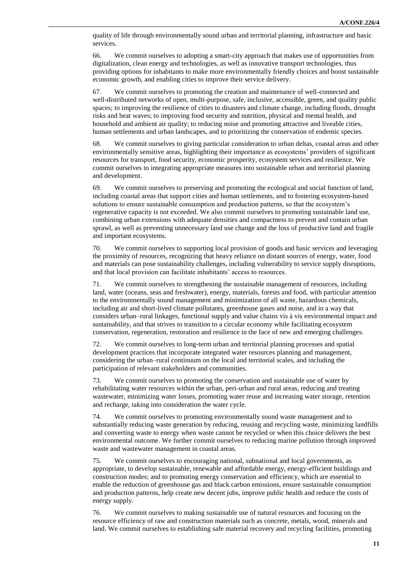quality of life through environmentally sound urban and territorial planning, infrastructure and basic services.

66. We commit ourselves to adopting a smart-city approach that makes use of opportunities from digitalization, clean energy and technologies, as well as innovative transport technologies, thus providing options for inhabitants to make more environmentally friendly choices and boost sustainable economic growth, and enabling cities to improve their service delivery.

67. We commit ourselves to promoting the creation and maintenance of well-connected and well-distributed networks of open, multi-purpose, safe, inclusive, accessible, green, and quality public spaces; to improving the resilience of cities to disasters and climate change, including floods, drought risks and heat waves; to improving food security and nutrition, physical and mental health, and household and ambient air quality; to reducing noise and promoting attractive and liveable cities, human settlements and urban landscapes, and to prioritizing the conservation of endemic species.

68. We commit ourselves to giving particular consideration to urban deltas, coastal areas and other environmentally sensitive areas, highlighting their importance as ecosystems' providers of significant resources for transport, food security, economic prosperity, ecosystem services and resilience. We commit ourselves to integrating appropriate measures into sustainable urban and territorial planning and development.

69. We commit ourselves to preserving and promoting the ecological and social function of land, including coastal areas that support cities and human settlements, and to fostering ecosystem-based solutions to ensure sustainable consumption and production patterns, so that the ecosystem's regenerative capacity is not exceeded. We also commit ourselves to promoting sustainable land use, combining urban extensions with adequate densities and compactness to prevent and contain urban sprawl, as well as preventing unnecessary land use change and the loss of productive land and fragile and important ecosystems.

70. We commit ourselves to supporting local provision of goods and basic services and leveraging the proximity of resources, recognizing that heavy reliance on distant sources of energy, water, food and materials can pose sustainability challenges, including vulnerability to service supply disruptions, and that local provision can facilitate inhabitants' access to resources.

71. We commit ourselves to strengthening the sustainable management of resources, including land, water (oceans, seas and freshwater), energy, materials, forests and food, with particular attention to the environmentally sound management and minimization of all waste, hazardous chemicals, including air and short-lived climate pollutants, greenhouse gases and noise, and in a way that considers urban–rural linkages, functional supply and value chains vis à vis environmental impact and sustainability, and that strives to transition to a circular economy while facilitating ecosystem conservation, regeneration, restoration and resilience in the face of new and emerging challenges.

72. We commit ourselves to long-term urban and territorial planning processes and spatial development practices that incorporate integrated water resources planning and management, considering the urban–rural continuum on the local and territorial scales, and including the participation of relevant stakeholders and communities.

73. We commit ourselves to promoting the conservation and sustainable use of water by rehabilitating water resources within the urban, peri-urban and rural areas, reducing and treating wastewater, minimizing water losses, promoting water reuse and increasing water storage, retention and recharge, taking into consideration the water cycle.

74. We commit ourselves to promoting environmentally sound waste management and to substantially reducing waste generation by reducing, reusing and recycling waste, minimizing landfills and converting waste to energy when waste cannot be recycled or when this choice delivers the best environmental outcome. We further commit ourselves to reducing marine pollution through improved waste and wastewater management in coastal areas.

75. We commit ourselves to encouraging national, subnational and local governments, as appropriate, to develop sustainable, renewable and affordable energy, energy-efficient buildings and construction modes; and to promoting energy conservation and efficiency, which are essential to enable the reduction of greenhouse gas and black carbon emissions, ensure sustainable consumption and production patterns, help create new decent jobs, improve public health and reduce the costs of energy supply.

76. We commit ourselves to making sustainable use of natural resources and focusing on the resource efficiency of raw and construction materials such as concrete, metals, wood, minerals and land. We commit ourselves to establishing safe material recovery and recycling facilities, promoting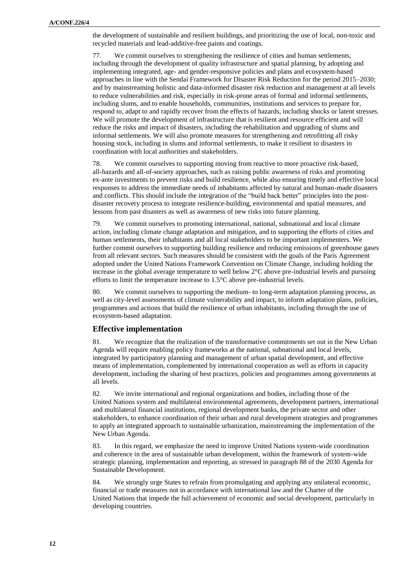the development of sustainable and resilient buildings, and prioritizing the use of local, non-toxic and recycled materials and lead-additive-free paints and coatings.

77. We commit ourselves to strengthening the resilience of cities and human settlements, including through the development of quality infrastructure and spatial planning, by adopting and implementing integrated, age- and gender-responsive policies and plans and ecosystem-based approaches in line with the Sendai Framework for Disaster Risk Reduction for the period 2015–2030; and by mainstreaming holistic and data-informed disaster risk reduction and management at all levels to reduce vulnerabilities and risk, especially in risk-prone areas of formal and informal settlements, including slums, and to enable households, communities, institutions and services to prepare for, respond to, adapt to and rapidly recover from the effects of hazards, including shocks or latent stresses. We will promote the development of infrastructure that is resilient and resource efficient and will reduce the risks and impact of disasters, including the rehabilitation and upgrading of slums and informal settlements. We will also promote measures for strengthening and retrofitting all risky housing stock, including in slums and informal settlements, to make it resilient to disasters in coordination with local authorities and stakeholders.

78. We commit ourselves to supporting moving from reactive to more proactive risk-based, all-hazards and all-of-society approaches, such as raising public awareness of risks and promoting ex-ante investments to prevent risks and build resilience, while also ensuring timely and effective local responses to address the immediate needs of inhabitants affected by natural and human-made disasters and conflicts. This should include the integration of the "build back better" principles into the postdisaster recovery process to integrate resilience-building, environmental and spatial measures, and lessons from past disasters as well as awareness of new risks into future planning.

79. We commit ourselves to promoting international, national, subnational and local climate action, including climate change adaptation and mitigation, and to supporting the efforts of cities and human settlements, their inhabitants and all local stakeholders to be important implementers. We further commit ourselves to supporting building resilience and reducing emissions of greenhouse gases from all relevant sectors. Such measures should be consistent with the goals of the Paris Agreement adopted under the United Nations Framework Convention on Climate Change, including holding the increase in the global average temperature to well below 2°C above pre-industrial levels and pursuing efforts to limit the temperature increase to 1.5°C above pre-industrial levels.

80. We commit ourselves to supporting the medium- to long-term adaptation planning process, as well as city-level assessments of climate vulnerability and impact, to inform adaptation plans, policies, programmes and actions that build the resilience of urban inhabitants, including through the use of ecosystem-based adaptation.

### **Effective implementation**

81. We recognize that the realization of the transformative commitments set out in the New Urban Agenda will require enabling policy frameworks at the national, subnational and local levels, integrated by participatory planning and management of urban spatial development, and effective means of implementation, complemented by international cooperation as well as efforts in capacity development, including the sharing of best practices, policies and programmes among governments at all levels.

82. We invite international and regional organizations and bodies, including those of the United Nations system and multilateral environmental agreements, development partners, international and multilateral financial institutions, regional development banks, the private sector and other stakeholders, to enhance coordination of their urban and rural development strategies and programmes to apply an integrated approach to sustainable urbanization, mainstreaming the implementation of the New Urban Agenda.

83. In this regard, we emphasize the need to improve United Nations system-wide coordination and coherence in the area of sustainable urban development, within the framework of system-wide strategic planning, implementation and reporting, as stressed in paragraph 88 of the 2030 Agenda for Sustainable Development.

84. We strongly urge States to refrain from promulgating and applying any unilateral economic, financial or trade measures not in accordance with international law and the Charter of the United Nations that impede the full achievement of economic and social development, particularly in developing countries.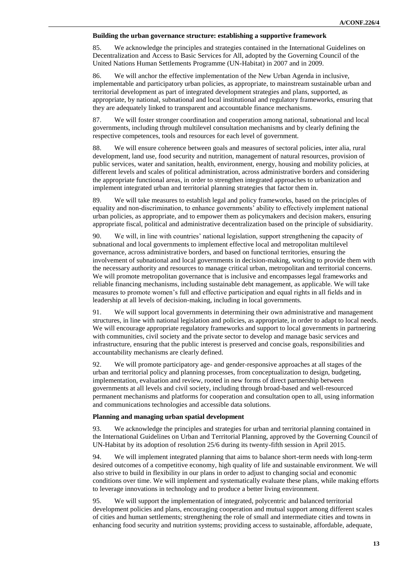### **Building the urban governance structure: establishing a supportive framework**

85. We acknowledge the principles and strategies contained in the International Guidelines on Decentralization and Access to Basic Services for All, adopted by the Governing Council of the United Nations Human Settlements Programme (UN-Habitat) in 2007 and in 2009.

86. We will anchor the effective implementation of the New Urban Agenda in inclusive, implementable and participatory urban policies, as appropriate, to mainstream sustainable urban and territorial development as part of integrated development strategies and plans, supported, as appropriate, by national, subnational and local institutional and regulatory frameworks, ensuring that they are adequately linked to transparent and accountable finance mechanisms.

87. We will foster stronger coordination and cooperation among national, subnational and local governments, including through multilevel consultation mechanisms and by clearly defining the respective competences, tools and resources for each level of government.

88. We will ensure coherence between goals and measures of sectoral policies, inter alia, rural development, land use, food security and nutrition, management of natural resources, provision of public services, water and sanitation, health, environment, energy, housing and mobility policies, at different levels and scales of political administration, across administrative borders and considering the appropriate functional areas, in order to strengthen integrated approaches to urbanization and implement integrated urban and territorial planning strategies that factor them in.

89. We will take measures to establish legal and policy frameworks, based on the principles of equality and non-discrimination, to enhance governments' ability to effectively implement national urban policies, as appropriate, and to empower them as policymakers and decision makers, ensuring appropriate fiscal, political and administrative decentralization based on the principle of subsidiarity.

90. We will, in line with countries' national legislation, support strengthening the capacity of subnational and local governments to implement effective local and metropolitan multilevel governance, across administrative borders, and based on functional territories, ensuring the involvement of subnational and local governments in decision-making, working to provide them with the necessary authority and resources to manage critical urban, metropolitan and territorial concerns. We will promote metropolitan governance that is inclusive and encompasses legal frameworks and reliable financing mechanisms, including sustainable debt management, as applicable. We will take measures to promote women's full and effective participation and equal rights in all fields and in leadership at all levels of decision-making, including in local governments.

91. We will support local governments in determining their own administrative and management structures, in line with national legislation and policies, as appropriate, in order to adapt to local needs. We will encourage appropriate regulatory frameworks and support to local governments in partnering with communities, civil society and the private sector to develop and manage basic services and infrastructure, ensuring that the public interest is preserved and concise goals, responsibilities and accountability mechanisms are clearly defined.

92. We will promote participatory age- and gender-responsive approaches at all stages of the urban and territorial policy and planning processes, from conceptualization to design, budgeting, implementation, evaluation and review, rooted in new forms of direct partnership between governments at all levels and civil society, including through broad-based and well-resourced permanent mechanisms and platforms for cooperation and consultation open to all, using information and communications technologies and accessible data solutions.

#### **Planning and managing urban spatial development**

93. We acknowledge the principles and strategies for urban and territorial planning contained in the International Guidelines on Urban and Territorial Planning, approved by the Governing Council of UN-Habitat by its adoption of resolution 25/6 during its twenty-fifth session in April 2015.

94. We will implement integrated planning that aims to balance short-term needs with long-term desired outcomes of a competitive economy, high quality of life and sustainable environment. We will also strive to build in flexibility in our plans in order to adjust to changing social and economic conditions over time. We will implement and systematically evaluate these plans, while making efforts to leverage innovations in technology and to produce a better living environment.

95. We will support the implementation of integrated, polycentric and balanced territorial development policies and plans, encouraging cooperation and mutual support among different scales of cities and human settlements; strengthening the role of small and intermediate cities and towns in enhancing food security and nutrition systems; providing access to sustainable, affordable, adequate,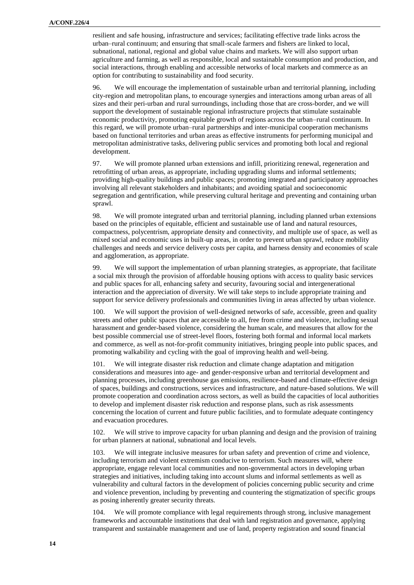resilient and safe housing, infrastructure and services; facilitating effective trade links across the urban–rural continuum; and ensuring that small-scale farmers and fishers are linked to local, subnational, national, regional and global value chains and markets. We will also support urban agriculture and farming, as well as responsible, local and sustainable consumption and production, and social interactions, through enabling and accessible networks of local markets and commerce as an option for contributing to sustainability and food security.

96. We will encourage the implementation of sustainable urban and territorial planning, including city-region and metropolitan plans, to encourage synergies and interactions among urban areas of all sizes and their peri-urban and rural surroundings, including those that are cross-border, and we will support the development of sustainable regional infrastructure projects that stimulate sustainable economic productivity, promoting equitable growth of regions across the urban–rural continuum. In this regard, we will promote urban–rural partnerships and inter-municipal cooperation mechanisms based on functional territories and urban areas as effective instruments for performing municipal and metropolitan administrative tasks, delivering public services and promoting both local and regional development.

97. We will promote planned urban extensions and infill, prioritizing renewal, regeneration and retrofitting of urban areas, as appropriate, including upgrading slums and informal settlements; providing high-quality buildings and public spaces; promoting integrated and participatory approaches involving all relevant stakeholders and inhabitants; and avoiding spatial and socioeconomic segregation and gentrification, while preserving cultural heritage and preventing and containing urban sprawl.

98. We will promote integrated urban and territorial planning, including planned urban extensions based on the principles of equitable, efficient and sustainable use of land and natural resources, compactness, polycentrism, appropriate density and connectivity, and multiple use of space, as well as mixed social and economic uses in built-up areas, in order to prevent urban sprawl, reduce mobility challenges and needs and service delivery costs per capita, and harness density and economies of scale and agglomeration, as appropriate.

99. We will support the implementation of urban planning strategies, as appropriate, that facilitate a social mix through the provision of affordable housing options with access to quality basic services and public spaces for all, enhancing safety and security, favouring social and intergenerational interaction and the appreciation of diversity. We will take steps to include appropriate training and support for service delivery professionals and communities living in areas affected by urban violence.

100. We will support the provision of well-designed networks of safe, accessible, green and quality streets and other public spaces that are accessible to all, free from crime and violence, including sexual harassment and gender-based violence, considering the human scale, and measures that allow for the best possible commercial use of street-level floors, fostering both formal and informal local markets and commerce, as well as not-for-profit community initiatives, bringing people into public spaces, and promoting walkability and cycling with the goal of improving health and well-being.

101. We will integrate disaster risk reduction and climate change adaptation and mitigation considerations and measures into age- and gender-responsive urban and territorial development and planning processes, including greenhouse gas emissions, resilience-based and climate-effective design of spaces, buildings and constructions, services and infrastructure, and nature-based solutions. We will promote cooperation and coordination across sectors, as well as build the capacities of local authorities to develop and implement disaster risk reduction and response plans, such as risk assessments concerning the location of current and future public facilities, and to formulate adequate contingency and evacuation procedures.

102. We will strive to improve capacity for urban planning and design and the provision of training for urban planners at national, subnational and local levels.

103. We will integrate inclusive measures for urban safety and prevention of crime and violence, including terrorism and violent extremism conducive to terrorism. Such measures will, where appropriate, engage relevant local communities and non-governmental actors in developing urban strategies and initiatives, including taking into account slums and informal settlements as well as vulnerability and cultural factors in the development of policies concerning public security and crime and violence prevention, including by preventing and countering the stigmatization of specific groups as posing inherently greater security threats.

104. We will promote compliance with legal requirements through strong, inclusive management frameworks and accountable institutions that deal with land registration and governance, applying transparent and sustainable management and use of land, property registration and sound financial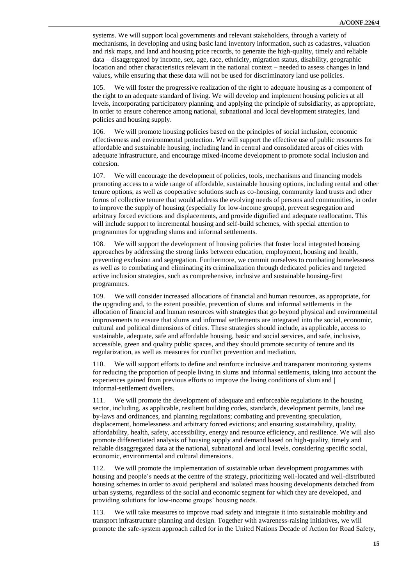systems. We will support local governments and relevant stakeholders, through a variety of mechanisms, in developing and using basic land inventory information, such as cadastres, valuation and risk maps, and land and housing price records, to generate the high-quality, timely and reliable data – disaggregated by income, sex, age, race, ethnicity, migration status, disability, geographic location and other characteristics relevant in the national context – needed to assess changes in land values, while ensuring that these data will not be used for discriminatory land use policies.

105. We will foster the progressive realization of the right to adequate housing as a component of the right to an adequate standard of living. We will develop and implement housing policies at all levels, incorporating participatory planning, and applying the principle of subsidiarity, as appropriate, in order to ensure coherence among national, subnational and local development strategies, land policies and housing supply.

106. We will promote housing policies based on the principles of social inclusion, economic effectiveness and environmental protection. We will support the effective use of public resources for affordable and sustainable housing, including land in central and consolidated areas of cities with adequate infrastructure, and encourage mixed-income development to promote social inclusion and cohesion.

107. We will encourage the development of policies, tools, mechanisms and financing models promoting access to a wide range of affordable, sustainable housing options, including rental and other tenure options, as well as cooperative solutions such as co-housing, community land trusts and other forms of collective tenure that would address the evolving needs of persons and communities, in order to improve the supply of housing (especially for low-income groups), prevent segregation and arbitrary forced evictions and displacements, and provide dignified and adequate reallocation. This will include support to incremental housing and self-build schemes, with special attention to programmes for upgrading slums and informal settlements.

108. We will support the development of housing policies that foster local integrated housing approaches by addressing the strong links between education, employment, housing and health, preventing exclusion and segregation. Furthermore, we commit ourselves to combating homelessness as well as to combating and eliminating its criminalization through dedicated policies and targeted active inclusion strategies, such as comprehensive, inclusive and sustainable housing-first programmes.

109. We will consider increased allocations of financial and human resources, as appropriate, for the upgrading and, to the extent possible, prevention of slums and informal settlements in the allocation of financial and human resources with strategies that go beyond physical and environmental improvements to ensure that slums and informal settlements are integrated into the social, economic, cultural and political dimensions of cities. These strategies should include, as applicable, access to sustainable, adequate, safe and affordable housing, basic and social services, and safe, inclusive, accessible, green and quality public spaces, and they should promote security of tenure and its regularization, as well as measures for conflict prevention and mediation.

110. We will support efforts to define and reinforce inclusive and transparent monitoring systems for reducing the proportion of people living in slums and informal settlements, taking into account the experiences gained from previous efforts to improve the living conditions of slum and | informal-settlement dwellers.

111. We will promote the development of adequate and enforceable regulations in the housing sector, including, as applicable, resilient building codes, standards, development permits, land use by-laws and ordinances, and planning regulations; combating and preventing speculation, displacement, homelessness and arbitrary forced evictions; and ensuring sustainability, quality, affordability, health, safety, accessibility, energy and resource efficiency, and resilience. We will also promote differentiated analysis of housing supply and demand based on high-quality, timely and reliable disaggregated data at the national, subnational and local levels, considering specific social, economic, environmental and cultural dimensions.

112. We will promote the implementation of sustainable urban development programmes with housing and people's needs at the centre of the strategy, prioritizing well-located and well-distributed housing schemes in order to avoid peripheral and isolated mass housing developments detached from urban systems, regardless of the social and economic segment for which they are developed, and providing solutions for low-income groups' housing needs.

113. We will take measures to improve road safety and integrate it into sustainable mobility and transport infrastructure planning and design. Together with awareness-raising initiatives, we will promote the safe-system approach called for in the United Nations Decade of Action for Road Safety,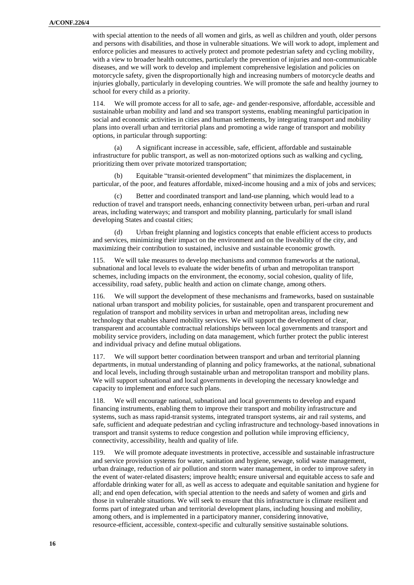with special attention to the needs of all women and girls, as well as children and youth, older persons and persons with disabilities, and those in vulnerable situations. We will work to adopt, implement and enforce policies and measures to actively protect and promote pedestrian safety and cycling mobility, with a view to broader health outcomes, particularly the prevention of injuries and non-communicable diseases, and we will work to develop and implement comprehensive legislation and policies on motorcycle safety, given the disproportionally high and increasing numbers of motorcycle deaths and injuries globally, particularly in developing countries. We will promote the safe and healthy journey to school for every child as a priority.

114. We will promote access for all to safe, age- and gender-responsive, affordable, accessible and sustainable urban mobility and land and sea transport systems, enabling meaningful participation in social and economic activities in cities and human settlements, by integrating transport and mobility plans into overall urban and territorial plans and promoting a wide range of transport and mobility options, in particular through supporting:

(a) A significant increase in accessible, safe, efficient, affordable and sustainable infrastructure for public transport, as well as non-motorized options such as walking and cycling, prioritizing them over private motorized transportation;

(b) Equitable "transit-oriented development" that minimizes the displacement, in particular, of the poor, and features affordable, mixed-income housing and a mix of jobs and services;

(c) Better and coordinated transport and land-use planning, which would lead to a reduction of travel and transport needs, enhancing connectivity between urban, peri-urban and rural areas, including waterways; and transport and mobility planning, particularly for small island developing States and coastal cities;

Urban freight planning and logistics concepts that enable efficient access to products and services, minimizing their impact on the environment and on the liveability of the city, and maximizing their contribution to sustained, inclusive and sustainable economic growth.

115. We will take measures to develop mechanisms and common frameworks at the national, subnational and local levels to evaluate the wider benefits of urban and metropolitan transport schemes, including impacts on the environment, the economy, social cohesion, quality of life, accessibility, road safety, public health and action on climate change, among others.

116. We will support the development of these mechanisms and frameworks, based on sustainable national urban transport and mobility policies, for sustainable, open and transparent procurement and regulation of transport and mobility services in urban and metropolitan areas, including new technology that enables shared mobility services. We will support the development of clear, transparent and accountable contractual relationships between local governments and transport and mobility service providers, including on data management, which further protect the public interest and individual privacy and define mutual obligations.

117. We will support better coordination between transport and urban and territorial planning departments, in mutual understanding of planning and policy frameworks, at the national, subnational and local levels, including through sustainable urban and metropolitan transport and mobility plans. We will support subnational and local governments in developing the necessary knowledge and capacity to implement and enforce such plans.

118. We will encourage national, subnational and local governments to develop and expand financing instruments, enabling them to improve their transport and mobility infrastructure and systems, such as mass rapid-transit systems, integrated transport systems, air and rail systems, and safe, sufficient and adequate pedestrian and cycling infrastructure and technology-based innovations in transport and transit systems to reduce congestion and pollution while improving efficiency, connectivity, accessibility, health and quality of life.

119. We will promote adequate investments in protective, accessible and sustainable infrastructure and service provision systems for water, sanitation and hygiene, sewage, solid waste management, urban drainage, reduction of air pollution and storm water management, in order to improve safety in the event of water-related disasters; improve health; ensure universal and equitable access to safe and affordable drinking water for all, as well as access to adequate and equitable sanitation and hygiene for all; and end open defecation, with special attention to the needs and safety of women and girls and those in vulnerable situations. We will seek to ensure that this infrastructure is climate resilient and forms part of integrated urban and territorial development plans, including housing and mobility, among others, and is implemented in a participatory manner, considering innovative, resource-efficient, accessible, context-specific and culturally sensitive sustainable solutions.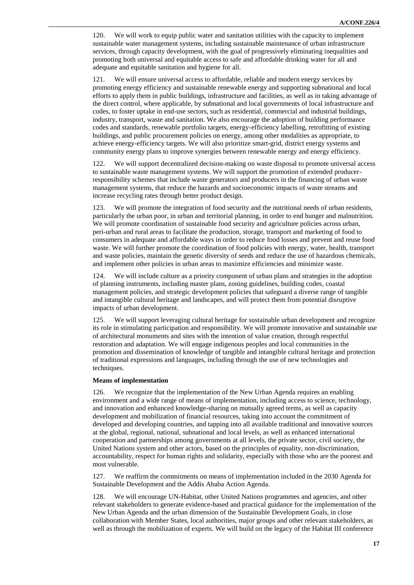120. We will work to equip public water and sanitation utilities with the capacity to implement sustainable water management systems, including sustainable maintenance of urban infrastructure services, through capacity development, with the goal of progressively eliminating inequalities and promoting both universal and equitable access to safe and affordable drinking water for all and adequate and equitable sanitation and hygiene for all.

121. We will ensure universal access to affordable, reliable and modern energy services by promoting energy efficiency and sustainable renewable energy and supporting subnational and local efforts to apply them in public buildings, infrastructure and facilities, as well as in taking advantage of the direct control, where applicable, by subnational and local governments of local infrastructure and codes, to foster uptake in end-use sectors, such as residential, commercial and industrial buildings, industry, transport, waste and sanitation. We also encourage the adoption of building performance codes and standards, renewable portfolio targets, energy-efficiency labelling, retrofitting of existing buildings, and public procurement policies on energy, among other modalities as appropriate, to achieve energy-efficiency targets. We will also prioritize smart-grid, district energy systems and community energy plans to improve synergies between renewable energy and energy efficiency.

We will support decentralized decision-making on waste disposal to promote universal access to sustainable waste management systems. We will support the promotion of extended producerresponsibility schemes that include waste generators and producers in the financing of urban waste management systems, that reduce the hazards and socioeconomic impacts of waste streams and increase recycling rates through better product design.

123. We will promote the integration of food security and the nutritional needs of urban residents, particularly the urban poor, in urban and territorial planning, in order to end hunger and malnutrition. We will promote coordination of sustainable food security and agriculture policies across urban, peri-urban and rural areas to facilitate the production, storage, transport and marketing of food to consumers in adequate and affordable ways in order to reduce food losses and prevent and reuse food waste. We will further promote the coordination of food policies with energy, water, health, transport and waste policies, maintain the genetic diversity of seeds and reduce the use of hazardous chemicals, and implement other policies in urban areas to maximize efficiencies and minimize waste.

124. We will include culture as a priority component of urban plans and strategies in the adoption of planning instruments, including master plans, zoning guidelines, building codes, coastal management policies, and strategic development policies that safeguard a diverse range of tangible and intangible cultural heritage and landscapes, and will protect them from potential disruptive impacts of urban development.

125. We will support leveraging cultural heritage for sustainable urban development and recognize its role in stimulating participation and responsibility. We will promote innovative and sustainable use of architectural monuments and sites with the intention of value creation, through respectful restoration and adaptation. We will engage indigenous peoples and local communities in the promotion and dissemination of knowledge of tangible and intangible cultural heritage and protection of traditional expressions and languages, including through the use of new technologies and techniques.

#### **Means of implementation**

126. We recognize that the implementation of the New Urban Agenda requires an enabling environment and a wide range of means of implementation, including access to science, technology, and innovation and enhanced knowledge-sharing on mutually agreed terms, as well as capacity development and mobilization of financial resources, taking into account the commitment of developed and developing countries, and tapping into all available traditional and innovative sources at the global, regional, national, subnational and local levels, as well as enhanced international cooperation and partnerships among governments at all levels, the private sector, civil society, the United Nations system and other actors, based on the principles of equality, non-discrimination, accountability, respect for human rights and solidarity, especially with those who are the poorest and most vulnerable.

127. We reaffirm the commitments on means of implementation included in the 2030 Agenda for Sustainable Development and the Addis Ababa Action Agenda.

128. We will encourage UN-Habitat, other United Nations programmes and agencies, and other relevant stakeholders to generate evidence-based and practical guidance for the implementation of the New Urban Agenda and the urban dimension of the Sustainable Development Goals, in close collaboration with Member States, local authorities, major groups and other relevant stakeholders, as well as through the mobilization of experts. We will build on the legacy of the Habitat III conference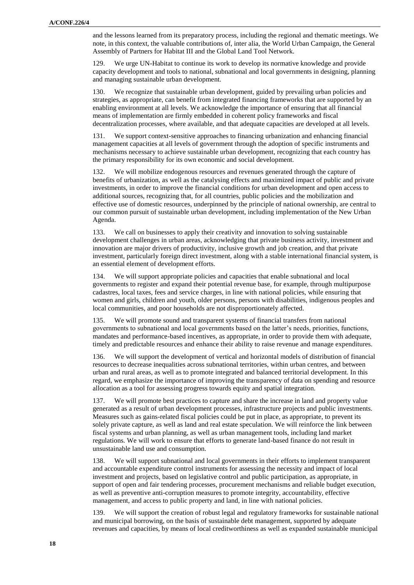and the lessons learned from its preparatory process, including the regional and thematic meetings. We note, in this context, the valuable contributions of, inter alia, the World Urban Campaign, the General Assembly of Partners for Habitat III and the Global Land Tool Network.

129. We urge UN-Habitat to continue its work to develop its normative knowledge and provide capacity development and tools to national, subnational and local governments in designing, planning and managing sustainable urban development.

130. We recognize that sustainable urban development, guided by prevailing urban policies and strategies, as appropriate, can benefit from integrated financing frameworks that are supported by an enabling environment at all levels. We acknowledge the importance of ensuring that all financial means of implementation are firmly embedded in coherent policy frameworks and fiscal decentralization processes, where available, and that adequate capacities are developed at all levels.

131. We support context-sensitive approaches to financing urbanization and enhancing financial management capacities at all levels of government through the adoption of specific instruments and mechanisms necessary to achieve sustainable urban development, recognizing that each country has the primary responsibility for its own economic and social development.

132. We will mobilize endogenous resources and revenues generated through the capture of benefits of urbanization, as well as the catalysing effects and maximized impact of public and private investments, in order to improve the financial conditions for urban development and open access to additional sources, recognizing that, for all countries, public policies and the mobilization and effective use of domestic resources, underpinned by the principle of national ownership, are central to our common pursuit of sustainable urban development, including implementation of the New Urban Agenda.

133. We call on businesses to apply their creativity and innovation to solving sustainable development challenges in urban areas, acknowledging that private business activity, investment and innovation are major drivers of productivity, inclusive growth and job creation, and that private investment, particularly foreign direct investment, along with a stable international financial system, is an essential element of development efforts.

134. We will support appropriate policies and capacities that enable subnational and local governments to register and expand their potential revenue base, for example, through multipurpose cadastres, local taxes, fees and service charges, in line with national policies, while ensuring that women and girls, children and youth, older persons, persons with disabilities, indigenous peoples and local communities, and poor households are not disproportionately affected.

135. We will promote sound and transparent systems of financial transfers from national governments to subnational and local governments based on the latter's needs, priorities, functions, mandates and performance-based incentives, as appropriate, in order to provide them with adequate, timely and predictable resources and enhance their ability to raise revenue and manage expenditures.

136. We will support the development of vertical and horizontal models of distribution of financial resources to decrease inequalities across subnational territories, within urban centres, and between urban and rural areas, as well as to promote integrated and balanced territorial development. In this regard, we emphasize the importance of improving the transparency of data on spending and resource allocation as a tool for assessing progress towards equity and spatial integration.

137. We will promote best practices to capture and share the increase in land and property value generated as a result of urban development processes, infrastructure projects and public investments. Measures such as gains-related fiscal policies could be put in place, as appropriate, to prevent its solely private capture, as well as land and real estate speculation. We will reinforce the link between fiscal systems and urban planning, as well as urban management tools, including land market regulations. We will work to ensure that efforts to generate land-based finance do not result in unsustainable land use and consumption.

138. We will support subnational and local governments in their efforts to implement transparent and accountable expenditure control instruments for assessing the necessity and impact of local investment and projects, based on legislative control and public participation, as appropriate, in support of open and fair tendering processes, procurement mechanisms and reliable budget execution, as well as preventive anti-corruption measures to promote integrity, accountability, effective management, and access to public property and land, in line with national policies.

139. We will support the creation of robust legal and regulatory frameworks for sustainable national and municipal borrowing, on the basis of sustainable debt management, supported by adequate revenues and capacities, by means of local creditworthiness as well as expanded sustainable municipal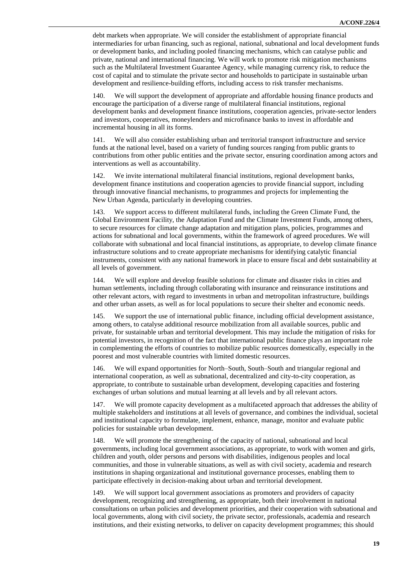debt markets when appropriate. We will consider the establishment of appropriate financial intermediaries for urban financing, such as regional, national, subnational and local development funds or development banks, and including pooled financing mechanisms, which can catalyse public and private, national and international financing. We will work to promote risk mitigation mechanisms such as the Multilateral Investment Guarantee Agency, while managing currency risk, to reduce the cost of capital and to stimulate the private sector and households to participate in sustainable urban development and resilience-building efforts, including access to risk transfer mechanisms.

140. We will support the development of appropriate and affordable housing finance products and encourage the participation of a diverse range of multilateral financial institutions, regional development banks and development finance institutions, cooperation agencies, private-sector lenders and investors, cooperatives, moneylenders and microfinance banks to invest in affordable and incremental housing in all its forms.

141. We will also consider establishing urban and territorial transport infrastructure and service funds at the national level, based on a variety of funding sources ranging from public grants to contributions from other public entities and the private sector, ensuring coordination among actors and interventions as well as accountability.

142. We invite international multilateral financial institutions, regional development banks, development finance institutions and cooperation agencies to provide financial support, including through innovative financial mechanisms, to programmes and projects for implementing the New Urban Agenda, particularly in developing countries.

143. We support access to different multilateral funds, including the Green Climate Fund, the Global Environment Facility, the Adaptation Fund and the Climate Investment Funds, among others, to secure resources for climate change adaptation and mitigation plans, policies, programmes and actions for subnational and local governments, within the framework of agreed procedures. We will collaborate with subnational and local financial institutions, as appropriate, to develop climate finance infrastructure solutions and to create appropriate mechanisms for identifying catalytic financial instruments, consistent with any national framework in place to ensure fiscal and debt sustainability at all levels of government.

144. We will explore and develop feasible solutions for climate and disaster risks in cities and human settlements, including through collaborating with insurance and reinsurance institutions and other relevant actors, with regard to investments in urban and metropolitan infrastructure, buildings and other urban assets, as well as for local populations to secure their shelter and economic needs.

145. We support the use of international public finance, including official development assistance, among others, to catalyse additional resource mobilization from all available sources, public and private, for sustainable urban and territorial development. This may include the mitigation of risks for potential investors, in recognition of the fact that international public finance plays an important role in complementing the efforts of countries to mobilize public resources domestically, especially in the poorest and most vulnerable countries with limited domestic resources.

146. We will expand opportunities for North–South, South–South and triangular regional and international cooperation, as well as subnational, decentralized and city-to-city cooperation, as appropriate, to contribute to sustainable urban development, developing capacities and fostering exchanges of urban solutions and mutual learning at all levels and by all relevant actors.

147. We will promote capacity development as a multifaceted approach that addresses the ability of multiple stakeholders and institutions at all levels of governance, and combines the individual, societal and institutional capacity to formulate, implement, enhance, manage, monitor and evaluate public policies for sustainable urban development.

148. We will promote the strengthening of the capacity of national, subnational and local governments, including local government associations, as appropriate, to work with women and girls, children and youth, older persons and persons with disabilities, indigenous peoples and local communities, and those in vulnerable situations, as well as with civil society, academia and research institutions in shaping organizational and institutional governance processes, enabling them to participate effectively in decision-making about urban and territorial development.

149. We will support local government associations as promoters and providers of capacity development, recognizing and strengthening, as appropriate, both their involvement in national consultations on urban policies and development priorities, and their cooperation with subnational and local governments, along with civil society, the private sector, professionals, academia and research institutions, and their existing networks, to deliver on capacity development programmes; this should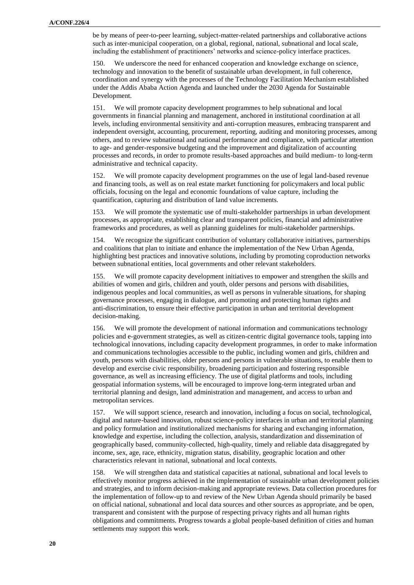be by means of peer-to-peer learning, subject-matter-related partnerships and collaborative actions such as inter-municipal cooperation, on a global, regional, national, subnational and local scale, including the establishment of practitioners' networks and science-policy interface practices.

150. We underscore the need for enhanced cooperation and knowledge exchange on science, technology and innovation to the benefit of sustainable urban development, in full coherence, coordination and synergy with the processes of the Technology Facilitation Mechanism established under the Addis Ababa Action Agenda and launched under the 2030 Agenda for Sustainable Development.

151. We will promote capacity development programmes to help subnational and local governments in financial planning and management, anchored in institutional coordination at all levels, including environmental sensitivity and anti-corruption measures, embracing transparent and independent oversight, accounting, procurement, reporting, auditing and monitoring processes, among others, and to review subnational and national performance and compliance, with particular attention to age- and gender-responsive budgeting and the improvement and digitalization of accounting processes and records, in order to promote results-based approaches and build medium- to long-term administrative and technical capacity.

152. We will promote capacity development programmes on the use of legal land-based revenue and financing tools, as well as on real estate market functioning for policymakers and local public officials, focusing on the legal and economic foundations of value capture, including the quantification, capturing and distribution of land value increments.

153. We will promote the systematic use of multi-stakeholder partnerships in urban development processes, as appropriate, establishing clear and transparent policies, financial and administrative frameworks and procedures, as well as planning guidelines for multi-stakeholder partnerships.

154. We recognize the significant contribution of voluntary collaborative initiatives, partnerships and coalitions that plan to initiate and enhance the implementation of the New Urban Agenda, highlighting best practices and innovative solutions, including by promoting coproduction networks between subnational entities, local governments and other relevant stakeholders.

155. We will promote capacity development initiatives to empower and strengthen the skills and abilities of women and girls, children and youth, older persons and persons with disabilities, indigenous peoples and local communities, as well as persons in vulnerable situations, for shaping governance processes, engaging in dialogue, and promoting and protecting human rights and anti-discrimination, to ensure their effective participation in urban and territorial development decision-making.

156. We will promote the development of national information and communications technology policies and e-government strategies, as well as citizen-centric digital governance tools, tapping into technological innovations, including capacity development programmes, in order to make information and communications technologies accessible to the public, including women and girls, children and youth, persons with disabilities, older persons and persons in vulnerable situations, to enable them to develop and exercise civic responsibility, broadening participation and fostering responsible governance, as well as increasing efficiency. The use of digital platforms and tools, including geospatial information systems, will be encouraged to improve long-term integrated urban and territorial planning and design, land administration and management, and access to urban and metropolitan services.

157. We will support science, research and innovation, including a focus on social, technological, digital and nature-based innovation, robust science-policy interfaces in urban and territorial planning and policy formulation and institutionalized mechanisms for sharing and exchanging information, knowledge and expertise, including the collection, analysis, standardization and dissemination of geographically based, community-collected, high-quality, timely and reliable data disaggregated by income, sex, age, race, ethnicity, migration status, disability, geographic location and other characteristics relevant in national, subnational and local contexts.

158. We will strengthen data and statistical capacities at national, subnational and local levels to effectively monitor progress achieved in the implementation of sustainable urban development policies and strategies, and to inform decision-making and appropriate reviews. Data collection procedures for the implementation of follow-up to and review of the New Urban Agenda should primarily be based on official national, subnational and local data sources and other sources as appropriate, and be open, transparent and consistent with the purpose of respecting privacy rights and all human rights obligations and commitments. Progress towards a global people-based definition of cities and human settlements may support this work.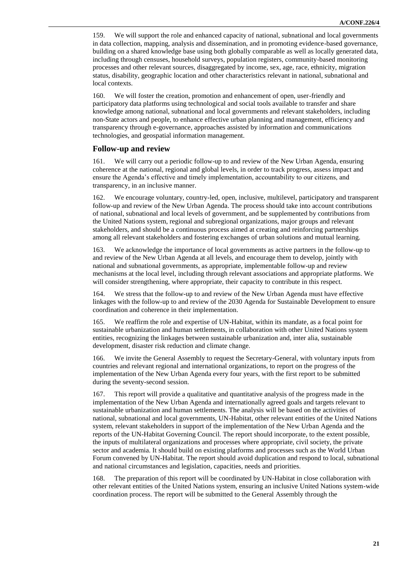159. We will support the role and enhanced capacity of national, subnational and local governments in data collection, mapping, analysis and dissemination, and in promoting evidence-based governance, building on a shared knowledge base using both globally comparable as well as locally generated data, including through censuses, household surveys, population registers, community-based monitoring processes and other relevant sources, disaggregated by income, sex, age, race, ethnicity, migration status, disability, geographic location and other characteristics relevant in national, subnational and local contexts.

160. We will foster the creation, promotion and enhancement of open, user-friendly and participatory data platforms using technological and social tools available to transfer and share knowledge among national, subnational and local governments and relevant stakeholders, including non-State actors and people, to enhance effective urban planning and management, efficiency and transparency through e-governance, approaches assisted by information and communications technologies, and geospatial information management.

## **Follow-up and review**

161. We will carry out a periodic follow-up to and review of the New Urban Agenda, ensuring coherence at the national, regional and global levels, in order to track progress, assess impact and ensure the Agenda's effective and timely implementation, accountability to our citizens, and transparency, in an inclusive manner.

162. We encourage voluntary, country-led, open, inclusive, multilevel, participatory and transparent follow-up and review of the New Urban Agenda. The process should take into account contributions of national, subnational and local levels of government, and be supplemented by contributions from the United Nations system, regional and subregional organizations, major groups and relevant stakeholders, and should be a continuous process aimed at creating and reinforcing partnerships among all relevant stakeholders and fostering exchanges of urban solutions and mutual learning.

163. We acknowledge the importance of local governments as active partners in the follow-up to and review of the New Urban Agenda at all levels, and encourage them to develop, jointly with national and subnational governments, as appropriate, implementable follow-up and review mechanisms at the local level, including through relevant associations and appropriate platforms. We will consider strengthening, where appropriate, their capacity to contribute in this respect.

164. We stress that the follow-up to and review of the New Urban Agenda must have effective linkages with the follow-up to and review of the 2030 Agenda for Sustainable Development to ensure coordination and coherence in their implementation.

We reaffirm the role and expertise of UN-Habitat, within its mandate, as a focal point for sustainable urbanization and human settlements, in collaboration with other United Nations system entities, recognizing the linkages between sustainable urbanization and, inter alia, sustainable development, disaster risk reduction and climate change.

166. We invite the General Assembly to request the Secretary-General, with voluntary inputs from countries and relevant regional and international organizations, to report on the progress of the implementation of the New Urban Agenda every four years, with the first report to be submitted during the seventy-second session.

167. This report will provide a qualitative and quantitative analysis of the progress made in the implementation of the New Urban Agenda and internationally agreed goals and targets relevant to sustainable urbanization and human settlements. The analysis will be based on the activities of national, subnational and local governments, UN-Habitat, other relevant entities of the United Nations system, relevant stakeholders in support of the implementation of the New Urban Agenda and the reports of the UN-Habitat Governing Council. The report should incorporate, to the extent possible, the inputs of multilateral organizations and processes where appropriate, civil society, the private sector and academia. It should build on existing platforms and processes such as the World Urban Forum convened by UN-Habitat. The report should avoid duplication and respond to local, subnational and national circumstances and legislation, capacities, needs and priorities.

168. The preparation of this report will be coordinated by UN-Habitat in close collaboration with other relevant entities of the United Nations system, ensuring an inclusive United Nations system-wide coordination process. The report will be submitted to the General Assembly through the